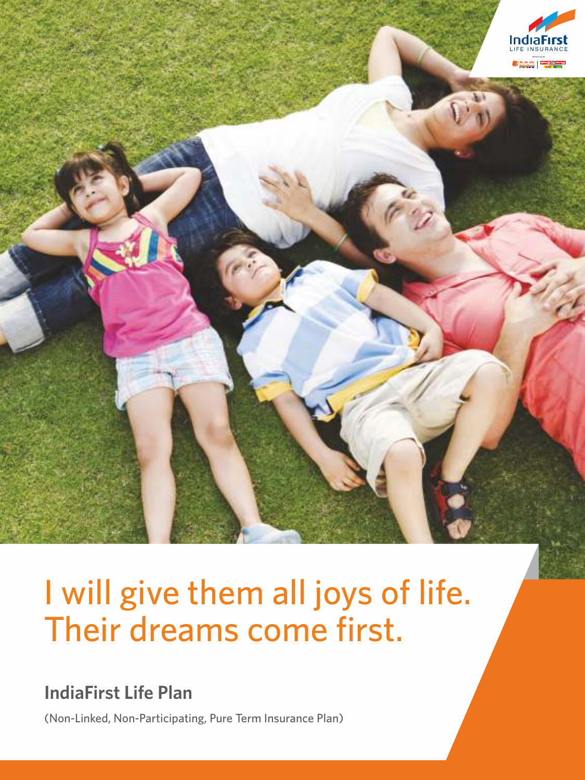

# I will give them all joys of life. Their dreams come first.

### **IndiaFirst Life Plan**

(Non-Linked, Non-Participating, Pure Term Insurance Plan)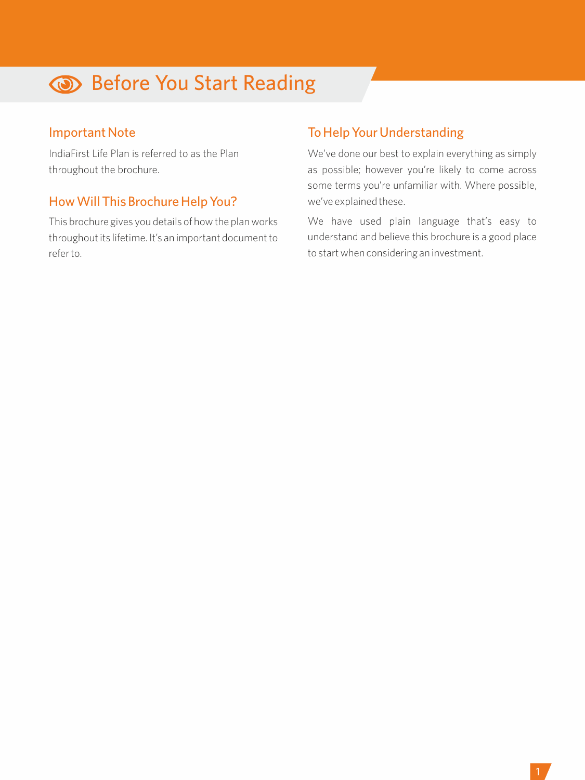## **Before You Start Reading**

#### Important Note

IndiaFirst Life Plan is referred to as the Plan throughout the brochure.

#### How Will This Brochure Help You?

This brochure gives you details of how the plan works throughout its lifetime. It's an important document to refer to.

### To Help Your Understanding

We've done our best to explain everything as simply as possible; however you're likely to come across some terms you're unfamiliar with. Where possible, we've explained these.

We have used plain language that's easy to understand and believe this brochure is a good place to start when considering an investment.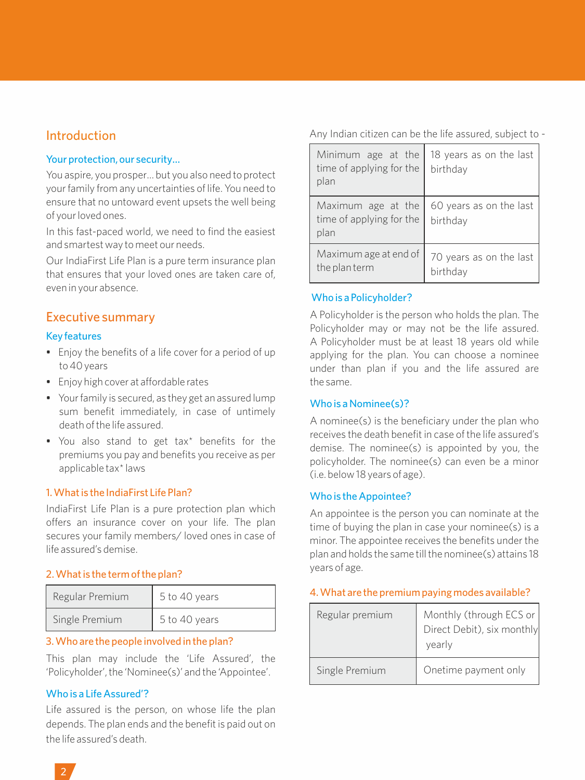#### Introduction

#### Your protection, our security…

You aspire, you prosper… but you also need to protect your family from any uncertainties of life. You need to ensure that no untoward event upsets the well being of your loved ones.

In this fast-paced world, we need to find the easiest and smartest way to meet our needs.

Our IndiaFirst Life Plan is a pure term insurance plan that ensures that your loved ones are taken care of, even in your absence.

#### Executive summary

#### Key features

- Enjoy the benefits of a life cover for a period of up to 40 years
- Enjoy high cover at affordable rates
- Your family is secured, as they get an assured lump sum benefit immediately, in case of untimely death of the life assured.
- You also stand to get tax\* benefits for the premiums you pay and benefits you receive as per applicable tax\* laws

#### 1. What is the IndiaFirst Life Plan?

IndiaFirst Life Plan is a pure protection plan which offers an insurance cover on your life. The plan secures your family members/ loved ones in case of life assured's demise.

#### 2. What is the term of the plan?

| Regular Premium | 5 to 40 years |
|-----------------|---------------|
| Single Premium  | 5 to 40 years |

#### 3. Who are the people involved in the plan?

This plan may include the 'Life Assured', the 'Policyholder', the 'Nominee(s)' and the 'Appointee'.

#### Who is a Life Assured'?

Life assured is the person, on whose life the plan depends. The plan ends and the benefit is paid out on the life assured's death.

Any Indian citizen can be the life assured, subject to -

| Minimum age at the<br>time of applying for the<br>plan | 18 years as on the last<br>birthday |
|--------------------------------------------------------|-------------------------------------|
| Maximum age at the<br>time of applying for the<br>plan | 60 years as on the last<br>birthday |
| Maximum age at end of<br>the plan term                 | 70 years as on the last<br>birthdav |

#### Who is a Policyholder?

A Policyholder is the person who holds the plan. The Policyholder may or may not be the life assured. A Policyholder must be at least 18 years old while applying for the plan. You can choose a nominee under than plan if you and the life assured are the same.

#### Who is a Nominee(s)?

A nominee(s) is the beneficiary under the plan who receives the death benefit in case of the life assured's demise. The nominee(s) is appointed by you, the policyholder. The nominee(s) can even be a minor (i.e. below 18 years of age).

#### Who is the Appointee?

An appointee is the person you can nominate at the time of buying the plan in case your nominee(s) is a minor. The appointee receives the benefits under the plan and holds the same till the nominee(s) attains 18 years of age.

#### 4. What are the premium paying modes available?

| Regular premium | Monthly (through ECS or<br>Direct Debit), six monthly<br>yearly |
|-----------------|-----------------------------------------------------------------|
| Single Premium  | Onetime payment only                                            |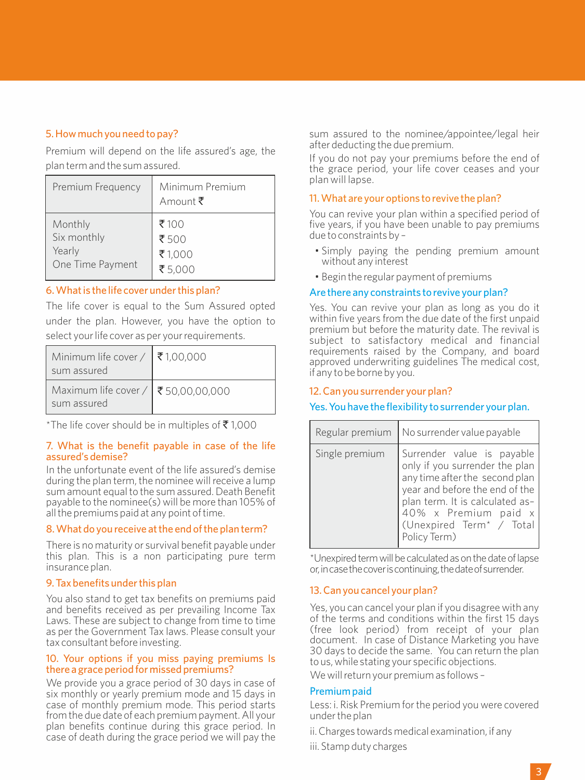#### 5. How much you need to pay?

Premium will depend on the life assured's age, the plan term and the sum assured.

| Premium Frequency | Minimum Premium<br>Amount ₹ |
|-------------------|-----------------------------|
| Monthly           | ₹100                        |
| Six monthly       | ₹500                        |
| Yearly            | ₹1,000                      |
| One Time Payment  | ₹5,000                      |

#### 6. What is the life cover under this plan?

The life cover is equal to the Sum Assured opted under the plan. However, you have the option to select your life cover as per your requirements.

| Minimum life cover / $\vert \bar{\mathbf{\tau}}$ 1,00,000<br>sum assured |  |
|--------------------------------------------------------------------------|--|
| Maximum life cover / ₹ 50,00,00,000<br>sum assured                       |  |

\*The life cover should be in multiples of  $\bar{\bar{\mathbf{z}}}$  1,000

#### 7. What is the benefit payable in case of the life assured's demise?

In the unfortunate event of the life assured's demise during the plan term, the nominee will receive a lump sum amount equal to the sum assured. Death Benefit payable to the nominee(s) will be more than 105% of all the premiums paid at any point of time.

#### 8. What do you receive at the end of the plan term?

There is no maturity or survival benefit payable under this plan. This is a non participating pure term insurance plan.

#### 9. Tax benefits under this plan

You also stand to get tax benefits on premiums paid and benefits received as per prevailing Income Tax Laws. These are subject to change from time to time as per the Government Tax laws. Please consult your tax consultant before investing.

#### 10. Your options if you miss paying premiums Is there a grace period for missed premiums?

We provide you a grace period of 30 days in case of six monthly or yearly premium mode and 15 days in case of monthly premium mode. This period starts from the due date of each premium payment. All your plan benefits continue during this grace period. In case of death during the grace period we will pay the

sum assured to the nominee/appointee/legal heir after deducting the due premium.

If you do not pay your premiums before the end of the grace period, your life cover ceases and your plan will lapse.

#### 11. What are your options to revive the plan?

You can revive your plan within a specified period of five years, if you have been unable to pay premiums due to constraints by –

- Simply paying the pending premium amount without any interest
- Begin the regular payment of premiums

#### Are there any constraints to revive your plan?

Yes. You can revive your plan as long as you do it within five years from the due date of the first unpaid premium but before the maturity date. The revival is subject to satisfactory medical and financial requirements raised by the Company, and board approved underwriting guidelines The medical cost, if any to be borne by you.

#### 12. Can you surrender your plan?

#### Yes. You have the flexibility to surrender your plan.

| Regular premium | No surrender value payable                                                                                                                                                                                                                          |
|-----------------|-----------------------------------------------------------------------------------------------------------------------------------------------------------------------------------------------------------------------------------------------------|
| Single premium  | Surrender value is payable<br>only if you surrender the plan<br>any time after the second plan<br>year and before the end of the<br>plan term. It is calculated as-<br>40% x Premium paid x<br>(Unexpired Term <sup>*</sup> / Total<br>Policy Term) |

\*Unexpired term will be calculated as on the date of lapse or,incasethecoveriscontinuing,thedateofsurrender.

#### 13. Can you cancel your plan?

Yes, you can cancel your plan if you disagree with any of the terms and conditions within the first 15 days (free look period) from receipt of your plan document. In case of Distance Marketing you have 30 days to decide the same. You can return the plan to us, while stating your specific objections.

We will return your premium as follows –

#### Premium paid

Less: i. Risk Premium for the period you were covered under the plan

ii. Charges towards medical examination, if any

iii. Stamp duty charges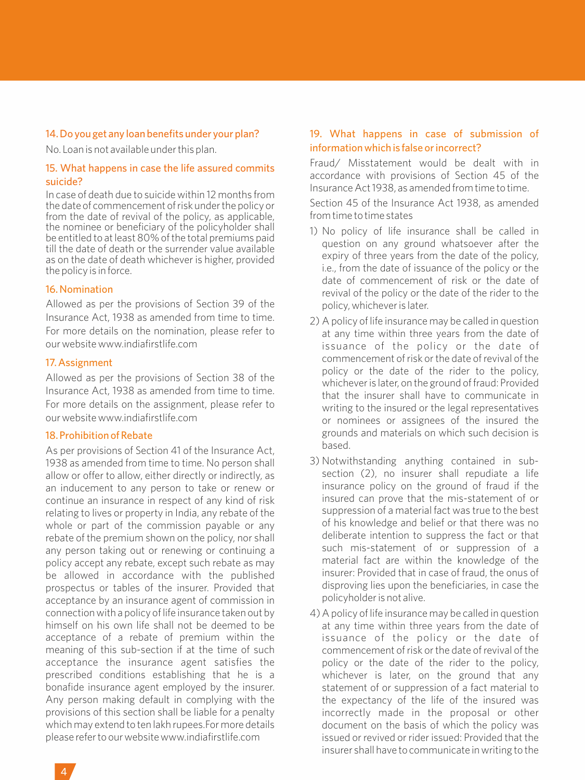#### 14. Do you get any loan benefits under your plan?

No. Loan is not available under this plan.

#### 15. What happens in case the life assured commits suicide?

In case of death due to suicide within 12 months from the date of commencement of risk under the policy or from the date of revival of the policy, as applicable, the nominee or beneficiary of the policyholder shall be entitled to at least 80% of the total premiums paid till the date of death or the surrender value available as on the date of death whichever is higher, provided the policy is in force.

#### 16. Nomination

Allowed as per the provisions of Section 39 of the Insurance Act, 1938 as amended from time to time. For more details on the nomination, please refer to our website www.indiafirstlife.com

#### 17. Assignment

Allowed as per the provisions of Section 38 of the Insurance Act, 1938 as amended from time to time. For more details on the assignment, please refer to our website www.indiafirstlife.com

#### 18. Prohibition of Rebate

As per provisions of Section 41 of the Insurance Act, 1938 as amended from time to time. No person shall allow or offer to allow, either directly or indirectly, as an inducement to any person to take or renew or continue an insurance in respect of any kind of risk relating to lives or property in India, any rebate of the whole or part of the commission payable or any rebate of the premium shown on the policy, nor shall any person taking out or renewing or continuing a policy accept any rebate, except such rebate as may be allowed in accordance with the published prospectus or tables of the insurer. Provided that acceptance by an insurance agent of commission in connection with a policy of life insurance taken out by himself on his own life shall not be deemed to be acceptance of a rebate of premium within the meaning of this sub-section if at the time of such acceptance the insurance agent satisfies the prescribed conditions establishing that he is a bonafide insurance agent employed by the insurer. Any person making default in complying with the provisions of this section shall be liable for a penalty which may extend to ten lakh rupees.For more details please refer to our website www.indiafirstlife.com

#### 19. What happens in case of submission of information which is false or incorrect?

Fraud/ Misstatement would be dealt with in accordance with provisions of Section 45 of the Insurance Act 1938, as amended from time to time.

Section 45 of the Insurance Act 1938, as amended from time to time states

- 1) No policy of life insurance shall be called in question on any ground whatsoever after the expiry of three years from the date of the policy, i.e., from the date of issuance of the policy or the date of commencement of risk or the date of revival of the policy or the date of the rider to the policy, whichever is later.
- 2) A policy of life insurance may be called in question at any time within three years from the date of issuance of the policy or the date of commencement of risk or the date of revival of the policy or the date of the rider to the policy, whichever is later, on the ground of fraud: Provided that the insurer shall have to communicate in writing to the insured or the legal representatives or nominees or assignees of the insured the grounds and materials on which such decision is based.
- 3) Notwithstanding anything contained in subsection (2), no insurer shall repudiate a life insurance policy on the ground of fraud if the insured can prove that the mis-statement of or suppression of a material fact was true to the best of his knowledge and belief or that there was no deliberate intention to suppress the fact or that such mis-statement of or suppression of a material fact are within the knowledge of the insurer: Provided that in case of fraud, the onus of disproving lies upon the beneficiaries, in case the policyholder is not alive.
- 4) A policy of life insurance may be called in question at any time within three years from the date of issuance of the policy or the date of commencement of risk or the date of revival of the policy or the date of the rider to the policy, whichever is later, on the ground that any statement of or suppression of a fact material to the expectancy of the life of the insured was incorrectly made in the proposal or other document on the basis of which the policy was issued or revived or rider issued: Provided that the insurer shall have to communicate in writing to the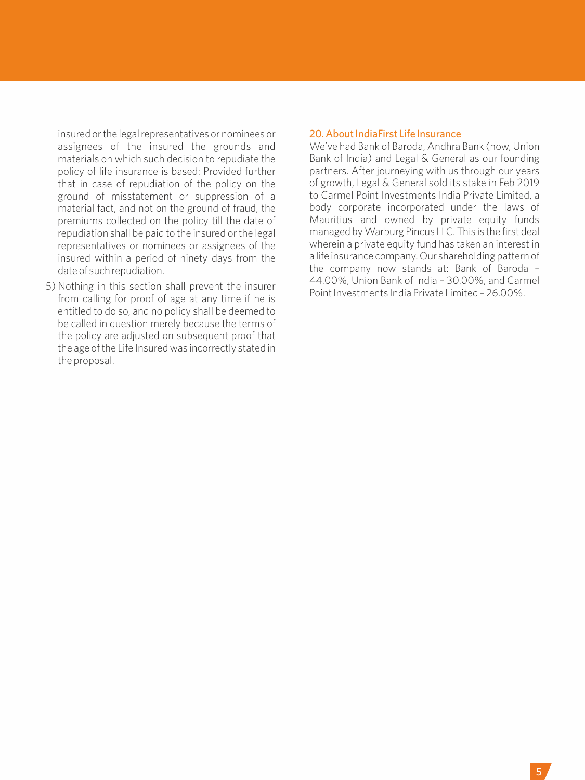insured or the legal representatives or nominees or assignees of the insured the grounds and materials on which such decision to repudiate the policy of life insurance is based: Provided further that in case of repudiation of the policy on the ground of misstatement or suppression of a material fact, and not on the ground of fraud, the premiums collected on the policy till the date of repudiation shall be paid to the insured or the legal representatives or nominees or assignees of the insured within a period of ninety days from the date of such repudiation.

5) Nothing in this section shall prevent the insurer from calling for proof of age at any time if he is entitled to do so, and no policy shall be deemed to be called in question merely because the terms of the policy are adjusted on subsequent proof that the age of the Life Insured was incorrectly stated in the proposal.

#### 20. About IndiaFirst Life Insurance

We've had Bank of Baroda, Andhra Bank (now, Union Bank of India) and Legal & General as our founding partners. After journeying with us through our years of growth, Legal & General sold its stake in Feb 2019 to Carmel Point Investments India Private Limited, a body corporate incorporated under the laws of Mauritius and owned by private equity funds managed by Warburg Pincus LLC. This is the first deal wherein a private equity fund has taken an interest in a life insurance company. Our shareholding pattern of the company now stands at: Bank of Baroda – 44.00%, Union Bank of India – 30.00%, and Carmel Point Investments India Private Limited – 26.00%.